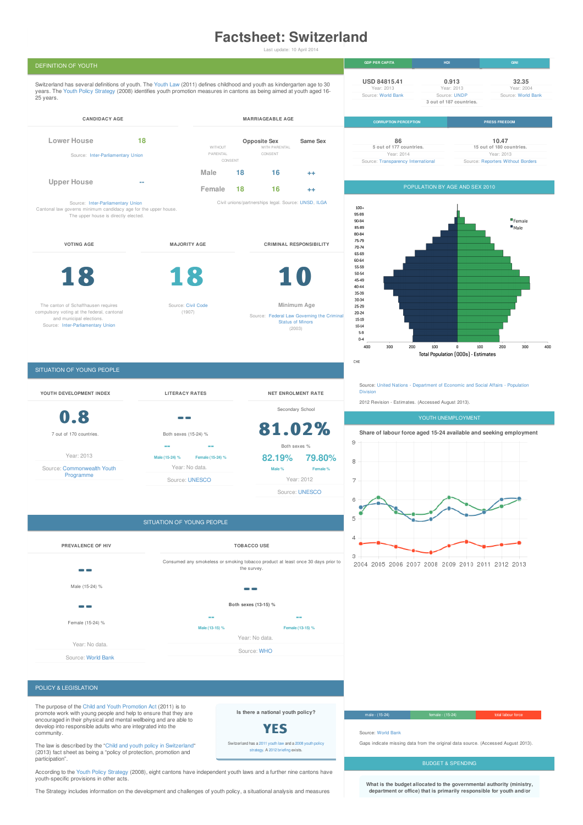# **Factsheet: Switzerland**

Last update: 10 April 2014



**department or office) that is primarily responsible for youth and/or**

The Strategy includes information on the development and challenges of youth policy, a situational analysis and measures